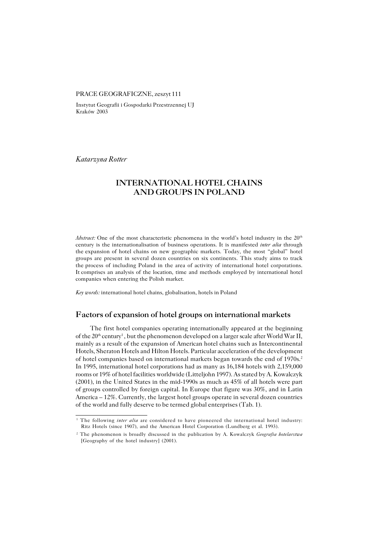#### PRACE GEOGRAFICZNE, zeszyt 111

Instytut Geografii i Gospodarki Przestrzennej UJ Kraków 2003

*Katarzyna Rotter*

# **INTERNATIONAL HOTEL CHAINS AND GROUPS IN POLAND**

*Abstract:* One of the most characteristic phenomena in the world's hotel industry in the 20<sup>th</sup> century is the internationalisation of business operations. It is manifested *inter alia* through the expansion of hotel chains on new geographic markets. Today, the most "global" hotel groups are present in several dozen countries on six continents. This study aims to track the process of including Poland in the area of activity of international hotel corporations. Itcomprises an analysis of the location, time and methods employed by international hotel companies when entering the Polish market.

*Key words:* international hotel chains, globalisation, hotels in Poland

### **Factors of expansion of hotel groups on international markets**

The first hotel companies operating internationally appeared at the beginning of the 20<sup>th</sup> century<sup>1</sup>, but the phenomenon developed on a larger scale after World War II, mainly as a result of the expansion of American hotel chains such as Intercontinental Hotels, Sheraton Hotels and Hilton Hotels. Particular acceleration of the development of hotel companies based on international markets began towards the end of 1970s.<sup>2</sup> In1995, international hotel corporations had as many as 16,184 hotels with 2,159,000 rooms or 19% of hotel facilities worldwide (Litteljohn 1997). As stated by A. Kowalczyk (2001), in the United States in the mid−1990s as much as 45% of all hotels were part ofgroups controlled by foreign capital. In Europe that figure was 30%, and in Latin America  $-12\%$ . Currently, the largest hotel groups operate in several dozen countries of the world and fully deserve to be termed global enterprises (Tab. 1).

<sup>&</sup>lt;sup>1</sup> The following *inter alia* are considered to have pioneered the international hotel industry: Ritz Hotels (since 1907), and the American Hotel Corporation (Lundberg et al. 1993).

<sup>2</sup> The phenomenon is broadly discussed in the publication by A. Kowalczyk *Geografia hotelarstwa* [Geography of the hotel industry] (2001).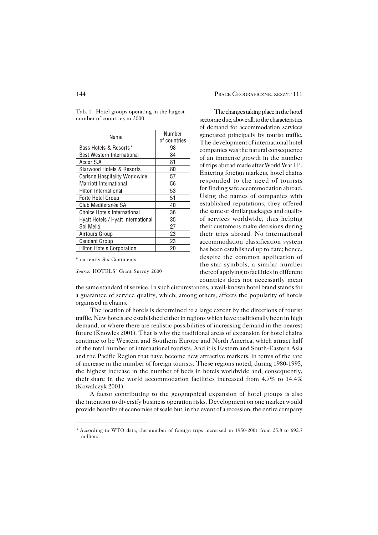Tab. 1. Hotel groups operating in the largest number of countries in 2000

| Name                                 | Number       |  |
|--------------------------------------|--------------|--|
|                                      | of countries |  |
| Bass Hotels & Resorts*               | 98           |  |
| Best Western International           | 84           |  |
| Accor S.A.                           | 81           |  |
| <b>Starwood Hotels &amp; Resorts</b> | 80           |  |
| Carlson Hospitality Worldwide        | 57           |  |
| Marriott International               | 56           |  |
| Hilton International                 | 53           |  |
| Forte Hotel Group                    | 51           |  |
| Club Mediteranée SA                  | 40           |  |
| <b>Choice Hotels International</b>   | 36           |  |
| Hyatt Hotels / Hyatt International   | 35           |  |
| Sol Meliá                            | 27           |  |
| Airtours Group                       | 23           |  |
| <b>Cendant Group</b>                 | 23           |  |
| <b>Hilton Hotels Corporation</b>     | 20           |  |

\* currently Six Continents

*Source:* HOTELS' Giant Survey 2000

The changes taking place in the hotel sector are due, above all, to the characteristics of demand for accommodation services generated principally by tourist traffic. The development of international hotel companies was the natural consequence of an immense growth in the number of trips abroad made after World War II<sup>3</sup>. Entering foreign markets, hotel chains responded to the need of tourists for finding safe accommodation abroad. Using the names of companies with established reputations, they offered the same or similar packages and quality of services worldwide, thus helping their customers make decisions during their trips abroad. No international accommodation classification system has been established up to date; hence, despite the common application of the star symbols, a similar number thereof applying to facilities in different countries does not necessarily mean

the same standard of service. In such circumstances, a well−known hotel brand stands for a guarantee of service quality, which, among others, affects the popularity of hotels organised in chains.

The location of hotels is determined to a large extent by the directions of tourist traffic. New hotels are established either in regions which have traditionally been in high demand, or where there are realistic possibilities of increasing demand in the nearest future (Knowles 2001). That is why the traditional areas of expansion for hotel chains continue to be Western and Southern Europe and North America, which attract half of the total number of international tourists. And it is Eastern and South-Eastern Asia and the Pacific Region that have become new attractive markets, in terms of the rate ofincrease in the number of foreign tourists. These regions noted, during 1980−1995, the highest increase in the number of beds in hotels worldwide and, consequently, their share in the world accommodation facilities increased from 4.7% to 14.4% (Kowalczyk 2001).

A factor contributing to the geographical expansion of hotel groups is also the intention to diversify business operation risks. Development on one market would provide benefits of economies of scale but, in the event of a recession, the entire company

<sup>3</sup> According to WTO data, the number of foreign trips increased in 1950−2001 from 25.8 to 692.7 million.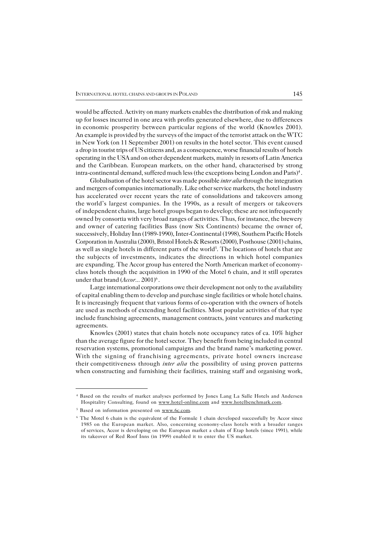would be affected. Activity on many markets enables the distribution of risk and making up for losses incurred in one area with profits generated elsewhere, due to differences in economic prosperity between particular regions of the world (Knowles 2001). An example is provided by the surveys of the impact of the terrorist attack on the WTC in New York (on 11 September 2001) on results in the hotel sector. This event caused a drop in tourist trips of US citizens and, as a consequence, worse financial results of hotels operating in the USA and on other dependent markets, mainly in resorts of Latin America and the Caribbean. European markets, on the other hand, characterised by strong intra−continental demand, suffered much less (the exceptions being London and Paris)<sup>4</sup> .

Globalisation of the hotel sector was made possible *inter alia* through the integration and mergers of companies internationally. Like other service markets, the hotel industry has accelerated over recent years the rate of consolidations and takeovers among theworld's largest companies. In the 1990s, as a result of mergers or takeovers ofindependent chains, large hotel groups began to develop; these are not infrequently owned by consortia with very broad ranges of activities. Thus, for instance, the brewery and owner of catering facilities Bass (now Six Continents) became the owner of, successively, Holiday Inn (1989−1990), Inter−Continental (1998), Southern Pacific Hotels Corporation in Australia (2000), Bristol Hotels & Resorts (2000), Posthouse (2001) chains, as well as single hotels in different parts of the world<sup>5</sup>. The locations of hotels that are the subjects of investments, indicates the directions in which hotel companies are expanding. The Accor group has entered the North American market of economy– class hotels though the acquisition in 1990 of the Motel 6 chain, and it still operates under that brand (*Accor...* 2001)<sup>6</sup>.

Large international corporations owe their development not only to the availability of capital enabling them to develop and purchase single facilities or whole hotel chains. It is increasingly frequent that various forms of co−operation with the owners of hotels are used as methods of extending hotel facilities. Most popular activities of that type include franchising agreements, management contracts, joint ventures and marketing agreements.

Knowles (2001) states that chain hotels note occupancy rates of ca. 10% higher than the average figure for the hotel sector. They benefit from being included in central reservation systems, promotional campaigns and the brand name's marketing power. With the signing of franchising agreements, private hotel owners increase their competitiveness through *inter alia* the possibility of using proven patterns when constructing and furnishing their facilities, training staff and organising work,

<sup>4</sup> Based on the results of market analyses performed by Jones Lang La Salle Hotels and Andersen Hospitality Consulting, found on www.hotel−online.com and www.hotelbenchmark.com.

<sup>&</sup>lt;sup>5</sup> Based on information presented on www.6c.com.

<sup>&</sup>lt;sup>6</sup> The Motel 6 chain is the equivalent of the Formule 1 chain developed successfully by Accor since 1985 on the European market. Also, concerning economy−class hotels with a broader ranges of services, Accor is developing on the European market a chain of Etap hotels (since 1991), while its takeover of Red Roof Inns (in 1999) enabled it to enter the US market.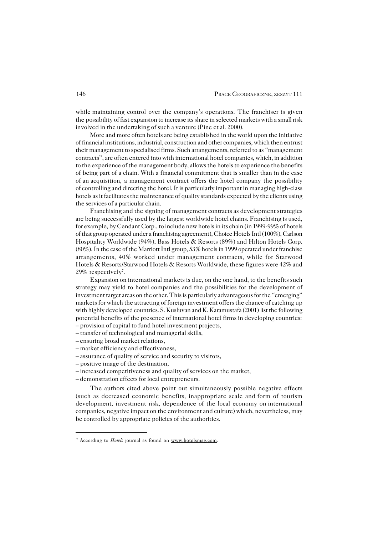while maintaining control over the company's operations. The franchiser is given the possibility of fast expansion to increase its share in selected markets with a small risk involved in the undertaking of such a venture (Pine et al. 2000).

More and more often hotels are being established in the world upon the initiative of financial institutions, industrial, construction and other companies, which then entrust their management to specialised firms. Such arrangements, referred to as "management contracts", are often entered into with international hotel companies, which, in addition to the experience of the management body, allows the hotels to experience the benefits of being part of a chain. With a financial commitment that is smaller than in the case of an acquisition, a management contract offers the hotel company the possibility of controlling and directing the hotel. It is particularly important in managing high−class hotels as it facilitates the maintenance of quality standards expected by the clients using the services of a particular chain.

Franchising and the signing of management contracts as development strategies are being successfully used by the largest worldwide hotel chains. Franchising is used, for example, by Cendant Corp., to include new hotels in its chain (in 1999−99% of hotels of that group operated under a franchising agreement), Choice Hotels Intl (100%), Carlson Hospitality Worldwide (94%), Bass Hotels & Resorts (89%) and Hilton Hotels Corp. (80%). In the case of the Marriott Intl group, 53% hotels in 1999 operated under franchise arrangements, 40% worked under management contracts, while for Starwood Hotels & Resorts/Starwood Hotels & Resorts Worldwide, these figures were 42% and 29% respectively<sup>7</sup>.

Expansion on international markets is due, on the one hand, to the benefits such strategy may yield to hotel companies and the possibilities for the development of investment target areas on the other. This is particularly advantageous for the "emerging" markets for which the attracting of foreign investment offers the chance of catching up with highly developed countries. S. Kusluvan and K. Karamustafa (2001) list the following potential benefits of the presence of international hotel firms in developing countries: – provision of capital to fund hotel investment projects,

– transfer of technological and managerial skills,

– ensuring broad market relations,

- market efficiency and effectiveness,
- assurance of quality of service and security to visitors,
- positive image of the destination,
- increased competitiveness and quality of services on the market,
- demonstration effects for local entrepreneurs.

The authors cited above point out simultaneously possible negative effects (such as decreased economic benefits, inappropriate scale andform of tourism development, investment risk, dependence of the local economy on international companies, negative impact on the environment and culture) which, nevertheless, may be controlled by appropriate policies of the authorities.

<sup>&</sup>lt;sup>7</sup> According to *Hotels* journal as found on www.hotelsmag.com.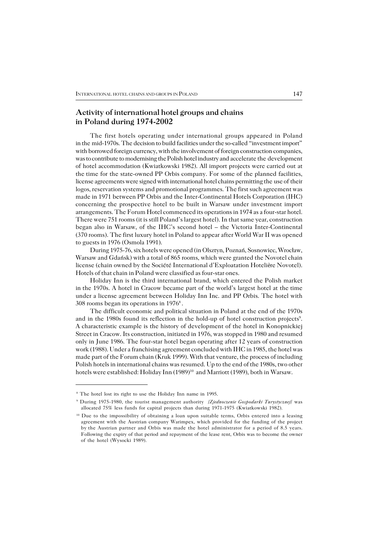## **Activity of international hotel groups and chains in Poland during 1974−2002**

The first hotels operating under international groups appeared in Poland in themid−1970s. The decision to build facilities under the so−called "investment import" with borrowed foreign currency, with the involvement of foreign construction companies, was to contribute to modernising the Polish hotel industry and accelerate the development of hotel accommodation (Kwiatkowski 1982). All import projects were carried out at the time for the state-owned PP Orbis company. For some of the planned facilities, license agreements were signed with international hotel chains permitting the use of their logos, reservation systems and promotional programmes. The first such agreement was made in 1971 between PP Orbis and the Inter−Continental Hotels Corporation (IHC) concerning the prospective hotel to be built in Warsaw under investment import arrangements. The Forum Hotel commenced its operations in 1974 as a four−star hotel. There were 751 rooms (it is still Poland's largest hotel). In that same year, construction began also in Warsaw, of the IHC's second hotel – the Victoria Inter−Continental (370 rooms). The first luxury hotel in Poland to appear after World War II was opened to guests in 1976 (Osmola 1991).

During 1975−76, six hotels were opened (in Olsztyn, Poznań, Sosnowiec, Wrocław, Warsaw and Gdańsk) with a total of 865 rooms, which were granted the Novotel chain license (chain owned by the Société International d'Exploatation Hotelière Novotel). Hotels of that chain in Poland were classified as four−star ones.

Holiday Inn is the third international brand, which entered the Polish market in the 1970s. A hotel in Cracow became part of the world's largest hotel at the time under a license agreement between Holiday Inn Inc. and PP Orbis. The hotel with 308 rooms began its operations in  $1976^8$ .

The difficult economic and political situation in Poland at the end of the 1970s and in the 1980s found its reflection in the hold-up of hotel construction projects<sup>9</sup>. A characteristic example is the history of development of the hotel in Konopnickiej Street in Cracow. Its construction, initiated in 1976, was stopped in 1980 and resumed only in June 1986. The four−star hotel began operating after 12 years of construction work (1988). Under a franchising agreement concluded with IHC in 1985, the hotel was made part of the Forum chain (Kruk 1999). With that venture, the process of including Polish hotels in international chains was resumed. Up to the end of the 1980s, two other hotels were established: Holiday Inn (1989)<sup>10</sup> and Marriott (1989), both in Warsaw.

<sup>8</sup> The hotel lost its right to use the Holiday Inn name in 1995.

<sup>9</sup> During 1975−1980, the tourist management authority /*Zjednoczenie Gospodarki Turystycznej*/ was allocated 75% less funds for capital projects than during 1971−1975 (Kwiatkowski 1982).

<sup>&</sup>lt;sup>10</sup> Due to the impossibility of obtaining a loan upon suitable terms, Orbis entered into a leasing agreement with the Austrian company Warimpex, which provided for the funding of the project bythe Austrian partner and Orbis was made the hotel administrator for a period of 8.5 years. Following the expiry of that period and repayment of the lease rent, Orbis was to become theowner of the hotel (Wysocki 1989).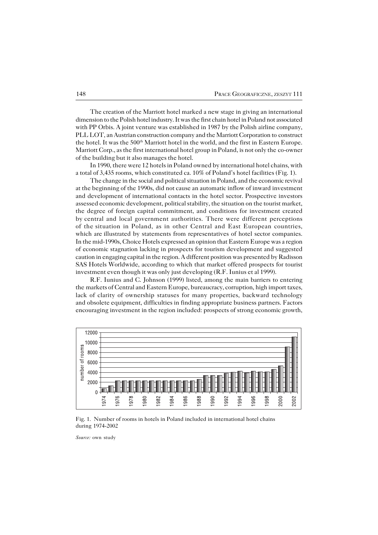The creation of the Marriott hotel marked a new stage in giving an international dimension to the Polish hotel industry. It was the first chain hotel in Poland not associated with PP Orbis. A joint venture was established in 1987 by the Polish airline company, PLL LOT, an Austrian construction company and the Marriott Corporation to construct the hotel. It was the 500<sup>th</sup> Marriott hotel in the world, and the first in Eastern Europe. Marriott Corp., as the first international hotel group in Poland, is not only theco−owner of the building but it also manages the hotel.

In 1990, there were 12 hotels in Poland owned by international hotel chains, with a total of 3,435 rooms, which constituted ca. 10% of Poland's hotel facilities (Fig. 1).

The change in the social and political situation in Poland, and the economic revival at the beginning of the 1990s, did not cause an automatic inflow of inward investment and development of international contacts in the hotel sector. Prospective investors assessed economic development, political stability, the situation on the tourist market, the degree of foreign capital commitment, and conditions for investment created bycentral and local government authorities. There were different perceptions of thesituation in Poland, as in other Central and East European countries, which are illustrated by statements from representatives of hotel sector companies. In the mid−1990s, Choice Hotels expressed an opinion that Eastern Europe was a region of economic stagnation lacking in prospects for tourism development and suggested caution in engaging capital in the region. A different position was presented by Radisson SAS Hotels Worldwide, according to which that market offered prospects for tourist investment even though it was only just developing (R.F. Iunius et al 1999).

R.F. Iunius and C. Johnson (1999) listed, among the main barriers to entering the markets of Central and Eastern Europe, bureaucracy, corruption, high import taxes, lack of clarity of ownership statuses for many properties, backward technology and obsolete equipment, difficulties in finding appropriate business partners. Factors encouraging investment in the region included: prospects of strong economic growth,



Fig. 1. Number of rooms in hotels in Poland included in international hotel chains during 1974−2002

*Source:* own study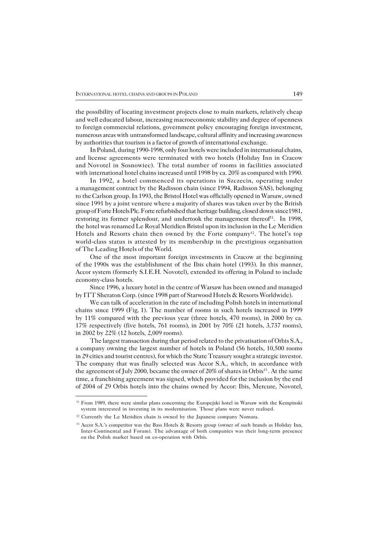the possibility of locating investment projects close to main markets, relatively cheap and well educated labour, increasing macroeconomic stability and degree of openness to foreign commercial relations, government policy encouraging foreign investment, numerous areas with untransformed landscape, cultural affinity and increasing awareness by authorities that tourism is a factor of growth of international exchange.

In Poland, during 1990−1998, only four hotels were included in international chains, and license agreements were terminated with two hotels (Holiday Inn in Cracow and Novotel in Sosnowiec). The total number of rooms in facilities associated with international hotel chains increased until 1998 by ca. 20% as compared with 1990.

In 1992, a hotel commenced its operations in Szczecin, operating under a management contract by the Radisson chain (since 1994, Radisson SAS), belonging to the Carlson group. In 1993, the Bristol Hotel was officially opened in Warsaw, owned since 1991 by a joint venture where a majority of shares was taken over by the British group of Forte Hotels Plc. Forte refurbished that heritage building, closed downsince1981, restoring its former splendour, and undertook the management thereof<sup>11</sup>. In 1998, the hotel was renamed Le Royal Meridien Bristol upon its inclusion in the Le Meridien Hotels and Resorts chain then owned by the Forte company<sup>12</sup>. The hotel's top world−class status is attested by its membership in the prestigious organisation of The Leading Hotels of the World.

One of the most important foreign investments in Cracow at the beginning of the1990s was the establishment of the Ibis chain hotel (1993). In this manner, Accor system (formerly S.I.E.H. Novotel), extended its offering in Poland to include economy−class hotels.

Since 1996, a luxury hotel in the centre of Warsaw has been owned and managed by ITT Sheraton Corp. (since 1998 part of Starwood Hotels & Resorts Worldwide).

We can talk of acceleration in the rate of including Polish hotels in international chains since 1999 (Fig.1). The number of rooms in such hotels increased in 1999 by 11% compared with the previous year (three hotels, 470 rooms), in 2000 by ca. 17% respectively (five hotels, 761 rooms), in 2001 by 70% (21 hotels, 3,737 rooms), in 2002 by 22% (12 hotels, 2,009 rooms).

The largest transaction during that period related to the privatisation of Orbis S.A., a company owning the largest number of hotels in Poland (56 hotels, 10,500 rooms in 29 cities and tourist centres), for which the State Treasury sought a strategic investor. The company that was finally selected was Accor S.A., which, in accordance with the agreement of July 2000, became the owner of 20% of shares in Orbis<sup>13</sup>. At the same time, a franchising agreement was signed, which provided for the inclusion by the end of2004 of 29 Orbis hotels into the chains owned by Accor: Ibis, Mercure, Novotel,

<sup>&</sup>lt;sup>11</sup> From 1989, there were similar plans concerning the Europejski hotel in Warsaw with the Kempinski system interested in investing in its modernisation. Those plans were never realised.

<sup>&</sup>lt;sup>12</sup> Currently the Le Meridien chain is owned by the Japanese company Nomura.

<sup>&</sup>lt;sup>13</sup> Accor S.A.'s competitor was the Bass Hotels & Resorts group (owner of such brands as Holiday Inn, Inter−Continental and Forum). The advantage of both companies was their long−term presence onthe Polish market based on co−operation with Orbis.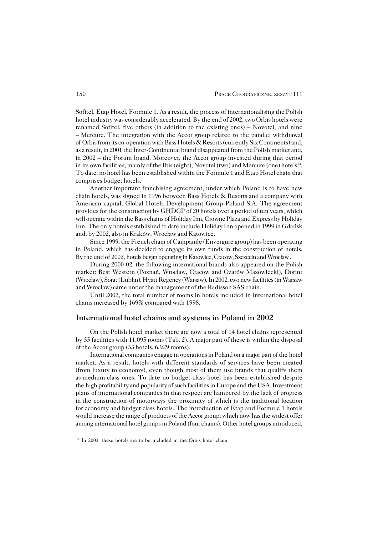Sofitel, Etap Hotel, Formule 1. As a result, the process of internationalising the Polish hotel industry was considerably accelerated. By the end of 2002, two Orbis hotels were renamed Sofitel, five others (in addition to the existing ones) – Novotel, and nine – Mercure. The integration with the Accor group related to the parallel withdrawal ofOrbis from its co−operation with Bass Hotels & Resorts (currently Six Continents) and, as a result, in 2001 the Inter−Continental brand disappeared from the Polish market and, in 2002 – the Forum brand. Moreover, the Accor group invested during that period in its own facilities, mainly of the Ibis (eight), Novotel (two) and Mercure (one) hotels $^{14}$ . To date, no hotel has been established within the Formule 1 and Etap Hotel chain that comprises budget hotels.

Another important franchising agreement, under which Poland is to have new chain hotels, was signed in 1996 between Bass Hotels  $\&$  Resorts and a company with American capital, Global Hotels Development Group Poland S.A. The agreement provides for the construction by GHDGP of 20 hotels over a period of ten years, which will operate within the Bass chains of Holiday Inn, Crowne Plaza and Express by Holiday Inn. The only hotels established to date include Holiday Inn opened in 1999 in Gdańsk and, by 2002, also in Kraków, Wrocław and Katowice.

Since 1999, the French chain of Campanile (Envergure group) has been operating in Poland, which has decided to engage its own funds in the construction of hotels. By the end of 2002, hotels began operating in Katowice, Cracow, Szczecin and Wrocław .

During 2000−02, the following international brands also appeared on the Polish market: Best Western (Poznań, Wrocław, Cracow and Ożarów Mazowiecki), Dorint (Wrocław), Sorat (Lublin), Hyatt Regency (Warsaw). In 2002, two new facilities (in Warsaw and Wrocław) came under the management of the Radisson SAS chain.

Until 2002, the total number of rooms in hotels included in international hotel chains increased by 169% compared with 1998.

### **International hotel chains and systems in Poland in 2002**

On the Polish hotel market there are now a total of 14 hotel chains represented by55 facilities with 11,095 rooms (Tab. 2). A major part of these is within the disposal of the Accor group (33 hotels, 6,929 rooms).

International companies engage in operations in Poland on a major part of the hotel market. As a result, hotels with different standards of services have been created (from luxury to economy), even though most of them use brands that qualify them asmedium−class ones. To date no budget−class hotel has been established despite the high profitability and popularity of such facilities in Europe and the USA. Investment plans of international companies in that respect are hampered by the lack of progress inthe construction of motorways the proximity of which is the traditional location for economy and budget class hotels. The introduction of Etap and Formule 1 hotels would increase the range of products of the Accor group, which now has the widest offer among international hotel groups in Poland (four chains). Other hotel groups introduced,

<sup>&</sup>lt;sup>14</sup> In 2003, these hotels are to be included in the Orbis hotel chain.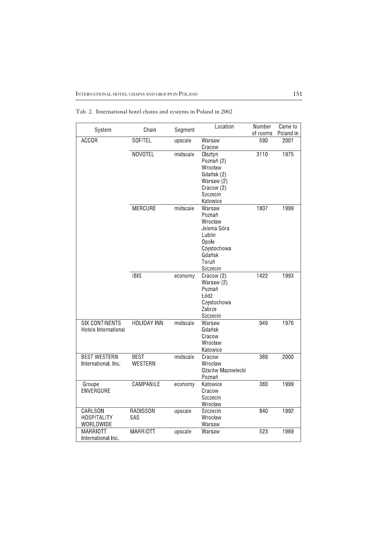| System                | Chain              | Segment  | Location          | Number   | Came to   |
|-----------------------|--------------------|----------|-------------------|----------|-----------|
|                       |                    |          |                   | of rooms | Poland in |
| <b>ACCOR</b>          | <b>SOFITEL</b>     | upscale  | Warsaw            | 590      | 2001      |
|                       |                    |          | Cracow            |          |           |
|                       | <b>NOVOTEL</b>     | midscale | Olsztyn           | 3110     | 1975      |
|                       |                    |          | Poznań (2)        |          |           |
|                       |                    |          | Wrocław           |          |           |
|                       |                    |          | Gdańsk (2)        |          |           |
|                       |                    |          | Warsaw (2)        |          |           |
|                       |                    |          | Cracow (2)        |          |           |
|                       |                    |          | Szczecin          |          |           |
|                       |                    |          | Katowice          |          |           |
|                       | <b>MERCURE</b>     | midscale | Warsaw            | 1807     | 1999      |
|                       |                    |          | Poznań            |          |           |
|                       |                    |          | Wrocław           |          |           |
|                       |                    |          | Jelenia Góra      |          |           |
|                       |                    |          | Lublin            |          |           |
|                       |                    |          | Opole             |          |           |
|                       |                    |          | Częstochowa       |          |           |
|                       |                    |          | Gdańsk            |          |           |
|                       |                    |          | Toruń             |          |           |
|                       |                    |          | Szczecin          |          |           |
|                       | <b>IBIS</b>        | economy  | Cracow (2)        | 1422     | 1993      |
|                       |                    |          | Warsaw (2)        |          |           |
|                       |                    |          | Poznań            |          |           |
|                       |                    |          | Łódź              |          |           |
|                       |                    |          | Częstochowa       |          |           |
|                       |                    |          | Zabrze            |          |           |
|                       |                    |          | Szczecin          |          |           |
| <b>SIX CONTINENTS</b> | <b>HOLIDAY INN</b> | midscale | Warsaw            | 949      | 1976      |
| Hotels International  |                    |          | Gdańsk            |          |           |
|                       |                    |          | Cracow            |          |           |
|                       |                    |          | Wrocław           |          |           |
|                       |                    |          | Katowice          |          |           |
| <b>BEST WESTERN</b>   | <b>BEST</b>        | midscale | Cracow            | 389      | 2000      |
| International, Inc.   | WESTERN            |          | Wrocław           |          |           |
|                       |                    |          | Ożarów Mazowiecki |          |           |
|                       |                    |          | Poznań            |          |           |
| Groupe                | CAMPANILE          | economy  | Katowice          | 380      | 1999      |
| <b>ENVERGURE</b>      |                    |          | Cracow            |          |           |
|                       |                    |          | Szczecin          |          |           |
|                       |                    |          | Wrocław           |          |           |
| CARLSON               | <b>RADISSON</b>    | upscale  | Szczecin          | 840      | 1992      |
| <b>HOSPITALITY</b>    | SAS                |          | Wrocław           |          |           |
| WORLDWIDE             |                    |          | Warsaw            |          |           |
| <b>MARRIOTT</b>       | <b>MARRIOTT</b>    | upscale  | Warsaw            | 523      | 1989      |
| International Inc.    |                    |          |                   |          |           |

Tab. 2. International hotel chains and systems in Poland in 2002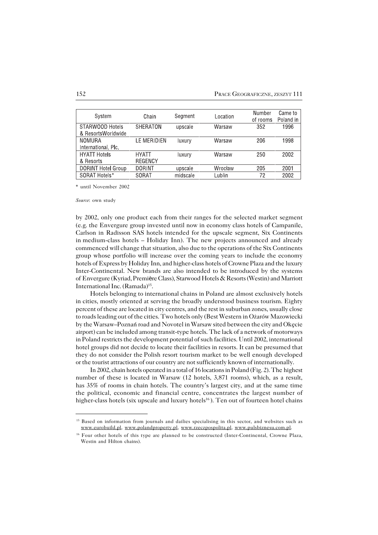| System                    |                | Segment  |          | Number   | Came to   |
|---------------------------|----------------|----------|----------|----------|-----------|
|                           | Chain          |          | Location | of rooms | Poland in |
| STARWOOD Hotels           | SHERATON       | upscale  | Warsaw   | 352      | 1996      |
| & ResortsWorldwide        |                |          |          |          |           |
| <b>NOMURA</b>             | LE MERIDIEN    | luxury   | Warsaw   | 206      | 1998      |
| International, Plc.       |                |          |          |          |           |
| <b>HYATT Hotels</b>       | <b>HYATT</b>   | luxury   | Warsaw   | 250      | 2002      |
| & Resorts                 | <b>REGENCY</b> |          |          |          |           |
| <b>DORINT Hotel Group</b> | <b>DORINT</b>  | upscale  | Wrocław  | 205      | 2001      |
| SORAT Hotels*             | <b>SORAT</b>   | midscale | Lublin   | 72       | 2002      |
|                           |                |          |          |          |           |

\* until November 2002

*Source*: own study

by 2002, only one product each from their ranges for the selected market segment (e.g.the Envergure group invested until now in economy class hotels of Campanile, Carlson in Radisson SAS hotels intended for the upscale segment, Six Continents inmedium−class hotels – Holiday Inn). The new projects announced and already commenced will change that situation, also due to the operations of the Six Continents group whose portfolio will increase over the coming years to include the economy hotels of Express by Holiday Inn, and higher−class hotels of Crowne Plaza and theluxury Inter−Continental. New brands are also intended to be introduced by the systems ofEnvergure (Kyriad, Première Class), Starwood Hotels & Resorts (Westin) and Marriott International Inc. (Ramada)<sup>15</sup> .

Hotels belonging to international chains in Poland are almost exclusively hotels in cities, mostly oriented at serving the broadly understood business tourism. Eighty percent of these are located in city centres, and the rest in suburban zones, usually close to roads leading out of the cities. Two hotels only (Best Western in Ożarów Mazowiecki by the Warsaw–Poznań road and Novotel in Warsaw sited between the city and Okęcie airport) can be included among transit−type hotels. The lack of a network of motorways in Poland restricts the development potential of such facilities. Until 2002, international hotel groups did not decide to locate their facilities in resorts. It can be presumed that they do not consider thePolish resort tourism market to be well enough developed or the tourist attractions of our country are not sufficiently known of internationally.

In 2002, chain hotels operated in a total of 16 locations in Poland (Fig. 2). The highest number of these is located in Warsaw (12 hotels, 3,871 rooms), which, as a result, has 35% of rooms in chain hotels. The country's largest city, and at the same time the political, economic and financial centre, concentrates the largest number of higher−class hotels (six upscale and luxury hotels<sup>16</sup> ). Ten out of fourteen hotel chains

<sup>&</sup>lt;sup>15</sup> Based on information from journals and dailies specialising in this sector, and websites such as www.eurobuild.pl, www.polandproperty.pl, www.rzeczpospolita.pl, www.pulsbiznesu.com.pl.

<sup>16</sup> Four other hotels of this type are planned to be constructed (Inter−Continental, Crowne Plaza, Westin and Hilton chains).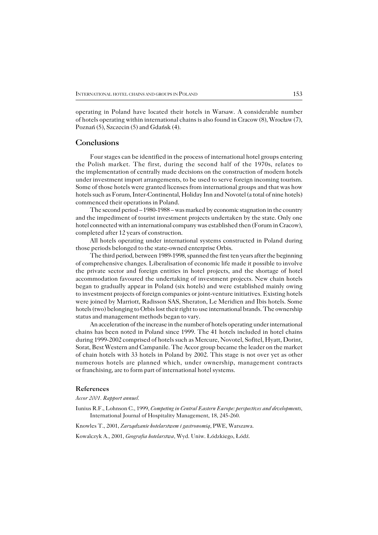operating in Poland have located their hotels in Warsaw. A considerable number of hotels operating within international chains is also found in Cracow (8), Wrocław (7), Poznań (5), Szczecin (5) and Gdańsk (4).

### **Conclusions**

Four stages can be identified in the process of international hotel groups entering the Polish market. The first, during the second half of the 1970s, relates to the implementation of centrally made decisions on the construction of modern hotels under investment import arrangements, to be used to serve foreign incoming tourism. Some of those hotels were granted licenses from international groups and that was how hotels such as Forum, Inter−Continental, Holiday Inn and Novotel (a total of nine hotels) commenced their operations in Poland.

The second period – 1980−1988 – was marked by economic stagnation in the country and the impediment of tourist investment projects undertaken by the state. Only one hotel connected with an international company was established then (Forum in Cracow), completed after 12 years of construction.

All hotels operating under international systems constructed in Poland during those periods belonged to the state−owned enterprise Orbis.

The third period, between 1989−1998, spanned the first ten years after the beginning of comprehensive changes. Liberalisation of economic life made it possible to involve the private sector and foreign entities in hotel projects, and the shortage of hotel accommodation favoured the undertaking of investment projects. New chain hotels began to gradually appear in Poland (six hotels) and were established mainly owing toinvestment projects of foreign companies or joint−venture initiatives. Existing hotels were joined by Marriott, Radisson SAS, Sheraton, Le Meridien and Ibis hotels. Some hotels (two) belonging to Orbis lost their right to use international brands. The ownership status and management methods began to vary.

An acceleration of the increase in the number of hotels operating under international chains has been noted in Poland since 1999. The 41 hotels included in hotel chains during 1999−2002 comprised of hotels such as Mercure, Novotel, Sofitel, Hyatt, Dorint, Sorat, Best Western and Campanile. The Accor group became the leader on the market of chain hotels with 33 hotels in Poland by 2002. This stage is not over yet as other numerous hotels are planned which, under ownership, management contracts or franchising, are to form part of international hotel systems.

#### **References**

*Accor 2001. Rapport annuel.*

Iunius R.F., Lohnson C., 1999, *Competing in Central Eastern Europe: perspectives and developments*, International Journal of Hospitality Management, 18, 245−260.

Knowles T., 2001, *Zarządzanie hotelarstwem i gastronomią*, PWE, Warszawa.

Kowalczyk A., 2001, *Geografia hotelarstwa*, Wyd. Uniw. Łódzkiego, Łódź.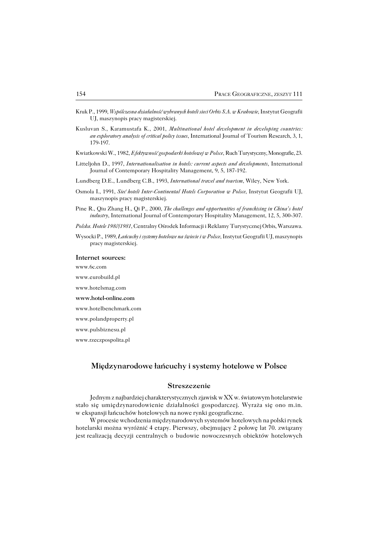- Kruk P., 1999, *Wspólczesna działalność wybranych hoteli sieci Orbis S.A. w Krakowie*, Instytut Geografii UJ, maszynopis pracy magisterskiej.
- Kusluvan S., Karamustafa K., 2001, *Multinational hotel development in developing countries: an exploratory analysis of critical policy issues*, International Journal of Tourism Research, 3, 1, 179−197.
- Kwiatkowski W., 1982, *Efektywność gospodarki hotelowej w Polsce*, Ruch Turystyczny, Monografie, 23.
- Litteljohn D., 1997, *Internationalisation in hotels: current aspects and developments*, International Journal of Contemporary Hospitality Management, 9, 5, 187−192.
- Lundberg D.E., Lundberg C.B., 1993, *International travel and tourism*, Wiley, New York.
- Osmola I., 1991, *Sieć hoteli Inter−Continental Hotels Corporation w Polsce*, Instytut Geografii UJ, maszynopis pracy magisterskiej.
- Pine R., Qiu Zhang H., Qi P., 2000, *The challenges and opportunities of franchising in China's hotel industry*, International Journal of Contemporary Hospitality Management, 12, 5, 300−307.
- *Polska. Hotele 1980/1981*, Centralny Ośrodek Informacji i Reklamy Turystycznej Orbis, Warszawa.
- Wysocki P., 1989, *Łańcuchy i systemy hotelowe na świecie i w Polsce*, Instytut Geografii UJ, maszynopis pracy magisterskiej.

#### **Internet sources:**

www.6c.com

- www.eurobuild.pl
- www.hotelsmag.com
- **www.hotel−online.com**
- www.hotelbenchmark.com
- www.polandproperty.pl
- www.pulsbiznesu.pl
- www.rzeczpospolita.pl

## **Międzynarodowe łańcuchy i systemy hotelowe w Polsce**

#### **Streszczenie**

Jednym z najbardziej charakterystycznych zjawisk w XX w. światowym hotelarstwie stało się umiędzynarodowienie działalności gospodarczej. Wyraża się ono m.in. wekspansji łańcuchów hotelowych na nowe rynki geograficzne.

W procesie wchodzenia międzynarodowych systemów hotelowych na polski rynek hotelarski można wyróżnić 4 etapy. Pierwszy, obejmujący 2 połowę lat 70. związany jest realizacją decyzji centralnych o budowie nowoczesnych obiektów hotelowych